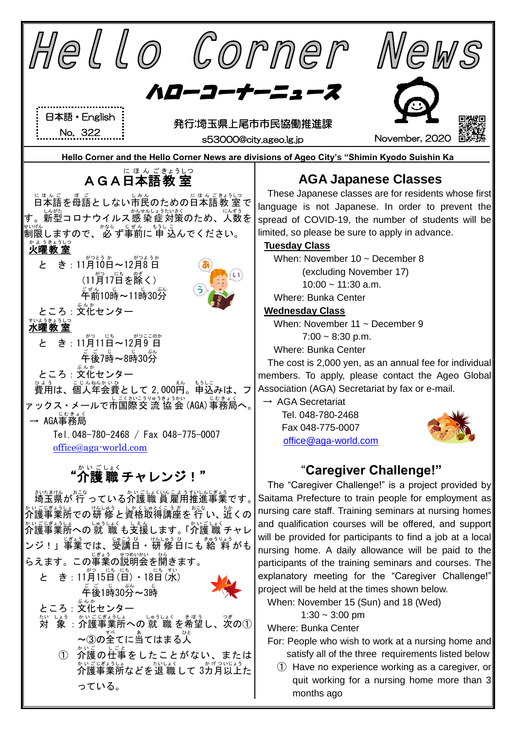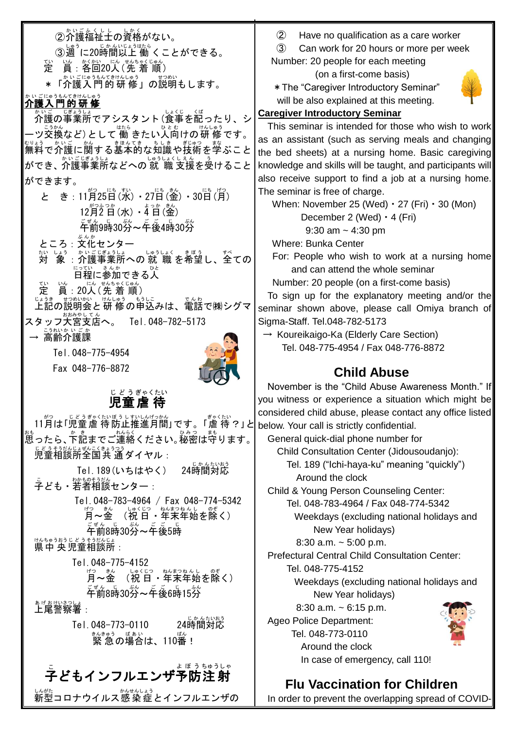②介護福祉士の資格がない。 ③ 週 に20時間以上 働 くことができる。 定 てい い。 ゕくゕぃ にん <del>せ</del>んもゃくじゅん<br>眞 : 各回20人 (先 着 順) \*「介護入門的研修」の説明もします。 <u>ゕぃご</u>⋸ゅぅもんてきけんしゅぅ<br>介護入門的研修 ゕぃご <sub>じまうしょ</sub><br>介護の事業所でアシスタント(食事を配ったり、シ ーッ交換など) として 働 きたい人向けの研 修 です。<br>ペッシング (see disclose) 無料 むりょう で介護 かいご に関 かん する基本的 きほんてき な知識 ちしき や技術 ぎじゅつ を学 まな ぶこと ができ、介護事業所などへの 就 職 支援を受けること ができます。 と き:11月25日(水)・27日(金)・30日(月) 12月2日(水)・4日(金) <sub>ごぜん じ</sub>。。。<br>午前9時30分~午後4時30分 ところ : 文化センター <sub>たいしょう かいごぽょうしょ</sub>、しゅうしょく まぼう<br>対 象 :介護事業所への 就 職 を希望し、全ての rages a se se<br>日程に参加できる人 定 てい 。<br>眞:20人(先 着 順) <sub>じょうき</sub><br>よ記の説明会と 研 修 の申込みは、電話で㈱シグマ スタッフ大宮支店へ。 Tel.048-782-5173 → 高齢介護課 Tel.048-775-4954 Fax 048-776-8872 児童 虐 待 じどう ぎゃくたい 11月は「児童虐待防止推進月間」です。「虐待?」と 。。<br>思ったら、下記までご連絡ください。秘密は守ります。 | じどうももんじょぜんこくきょうつう<br>児童相談所全国共 通ダイヤル : Tel.189(いちはやく) <sub>じかんたいおう</sub><br>時間対応 <u>こ</u><br>子ども・若者相談センター : Tel.048-783-4964 / Fax 048-774-5342 "?~ 。(\*)" (祝 日・年末年始を除く) <sub>こぜん。」</sub>。<br>午前8時30分~午後5時 <sub>けんちゅうおうじどうそうだんじょ<br>県中 央児童相談所:</sub> Tel.048-775-4152 月 げつ ~金 きん (祝 日 しゅくじつ ・年末 ねんまつ 年始 ねんし を除 のぞ く) <sub>。」。</sub><br>午前8時30分~午後6時15分 ぁゖぉゖぃ<u>きっしょ</u><br>**上尾**警察署: Tel.048-773-0110 <sub>じかんたいおう</sub><br>時間対応 緊 急 きんきゅう の場合 ばあい は、110番 ばん ! ゠<br>子どもインフルエンザ予防注射

しんがた<br>新型コロナウイルス感 染 症 とインフルエンザの

- i ② Have no qualification as a care worker
- ③ Can work for 20 hours or more per week
- Number: 20 people for each meeting

(on a first-come basis)

\*The "Caregiver Introductory Seminar" will be also explained at this meeting.



#### **Caregiver Introductory Seminar**

This seminar is intended for those who wish to work as an assistant (such as serving meals and changing the bed sheets) at a nursing home. Basic caregiving knowledge and skills will be taught, and participants will also receive support to find a job at a nursing home. The seminar is free of charge.

 When: November 25 (Wed)・27 (Fri)・30 (Mon) December 2 (Wed)・4 (Fri) 9:30 am  $\sim$  4:30 pm

Where: Bunka Center

 For: People who wish to work at a nursing home and can attend the whole seminar

Number: 20 people (on a first-come basis)

 To sign up for the explanatory meeting and/or the seminar shown above, please call Omiya branch of Sigma-Staff. Tel.048-782-5173

 $\rightarrow$  Koureikaigo-Ka (Elderly Care Section) Tel. 048-775-4954 / Fax 048-776-8872

### **Child Abuse**

November is the "Child Abuse Awareness Month." If you witness or experience a situation which might be considered child abuse, please contact any office listed below. Your call is strictly confidential.

General quick-dial phone number for Child Consultation Center (Jidousoudanjo): Tel. 189 ("Ichi-haya-ku" meaning "quickly") Around the clock Child & Young Person Counseling Center: Tel. 048-783-4964 / Fax 048-774-5342 Weekdays (excluding national holidays and New Year holidays) 8:30 a.m. ~ 5:00 p.m. Prefectural Central Child Consultation Center: Tel. 048-775-4152 Weekdays (excluding national holidays and New Year holidays) 8:30 a.m. ~ 6:15 p.m. Ageo Police Department: Tel. 048-773-0110 Around the clock



# **Flu Vaccination for Children**

In case of emergency, call 110!

In order to prevent the overlapping spread of COVID-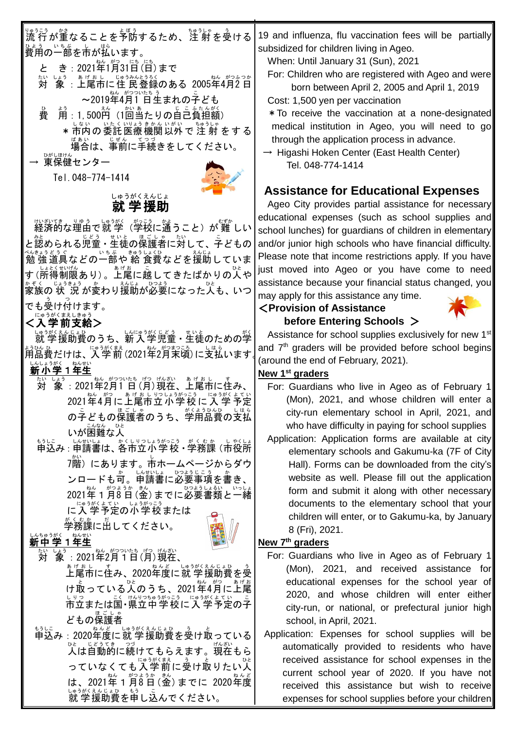| いちぶ<br>費用の一部を市が払います。<br>にち<br>き: 2021年1月31日 (日)まで<br>ないしょう。あげおし、じゅうみんとうろく<br>対 象 : 上尾市に住 民登録のある 2005年4月2日                                       | 19 and influenza, flu vaccination fees will be partially<br>subsidized for children living in Ageo.<br>When: Until January 31 (Sun), 2021<br>For: Children who are registered with Ageo and were<br>born between April 2, 2005 and April 1, 2019                        |
|-------------------------------------------------------------------------------------------------------------------------------------------------|-------------------------------------------------------------------------------------------------------------------------------------------------------------------------------------------------------------------------------------------------------------------------|
| ねん がつついたち<br>~2019年4月1日生まれの子ども<br>。<br>費<br>角: 1,500 <sup>科</sup> (1回当たりの自己負担額)<br>場合は、事前に手続きをしてください。<br>ひがしほけん<br>東保健センター<br>Tel. 048-774-1414 | Cost: 1,500 yen per vaccination<br>* To receive the vaccination at a none-designated<br>medical institution in Ageo, you will need to go<br>through the application process in advance.<br>$\rightarrow$ Higashi Hoken Center (East Health Center)<br>Tel. 048-774-1414 |
|                                                                                                                                                 |                                                                                                                                                                                                                                                                         |
| しゅうがくえんじょ<br>就 学援助                                                                                                                              | <b>Assistance for Educational Expenses</b><br>Ageo City provides partial assistance for necessary                                                                                                                                                                       |
| けいざいてき<br>りゆう<br>しゅうがく<br>(学校に通うこと)が 難 しい<br>経済的な理由で就 学                                                                                         | educational expenses (such as school supplies and<br>school lunches) for guardians of children in elementary                                                                                                                                                            |
| と認められる児童・生徒の保護者に対して、子どもの                                                                                                                        | and/or junior high schools who have financial difficulty.                                                                                                                                                                                                               |
|                                                                                                                                                 | Please note that income restrictions apply. If you have                                                                                                                                                                                                                 |
| す (所得制限あり) 。 <del>『</del> "#』 こ<br>す (所得制限あり) 。上尾に越してきたばかりの人や                                                                                   | just moved into Ageo or you have come to need                                                                                                                                                                                                                           |
| ゕ <sub>ぎく しょうきょう</sub><br>家族の 状  況 が変わり援助が必要になった人も、いつ                                                                                           | assistance because your financial status changed, you                                                                                                                                                                                                                   |
|                                                                                                                                                 | may apply for this assistance any time.                                                                                                                                                                                                                                 |
| でも受け付けます。<br>にゅうがくまえしきゅう                                                                                                                        | <b><provision assistance<="" b="" of=""></provision></b>                                                                                                                                                                                                                |
| <入学前支給>                                                                                                                                         | before Entering Schools >                                                                                                                                                                                                                                               |
| しゅうがくえんじょひ<br>就 学 援助費のうち、新 入 学 児童・生徒のための学                                                                                                       | Assistance for school supplies exclusively for new 1 <sup>st</sup><br>and 7 <sup>th</sup> graders will be provided before school begins                                                                                                                                 |
| ょっぷ »<br>用品費だけは、入 学 前 (2021年2月末頃) に支払います                                                                                                        | (around the end of February, 2021).                                                                                                                                                                                                                                     |
| ょうがく<br>ねんせい<br>新小学1年生                                                                                                                          | New 1 <sup>st</sup> graders                                                                                                                                                                                                                                             |
| ねん がつついたち げつ<br>上尾市に住み、<br>象<br>:2021年2月1 日 (月)現在、<br>対                                                                                         | For: Guardians who live in Ageo as of February 1                                                                                                                                                                                                                        |
| 2021年4月に上尾市立小学校に入学予定                                                                                                                            | (Mon), 2021, and whose children will enter a                                                                                                                                                                                                                            |
| の子どもの保護者のうち、学用品費の支払                                                                                                                             | city-run elementary school in April, 2021, and                                                                                                                                                                                                                          |
| いが困難な人                                                                                                                                          | who have difficulty in paying for school supplies                                                                                                                                                                                                                       |
| し やくしょ<br><u>おに、「你能は、なくりっしょなっきょないな</u> の<br>申込み:申請書は、各市立小学校・学務課 (市役所                                                                            | Application: Application forms are available at city                                                                                                                                                                                                                    |
| 7階) にあります。市ホームページからダウ                                                                                                                           | elementary schools and Gakumu-ka (7F of City<br>Hall). Forms can be downloaded from the city's                                                                                                                                                                          |
| ンロードも可。中請書に必要事項を書き、                                                                                                                             | website as well. Please fill out the application                                                                                                                                                                                                                        |
| 2021年1月8日(釜)までに必要書類と一緒                                                                                                                          | form and submit it along with other necessary                                                                                                                                                                                                                           |
| にゅうがくよてい しょうがっこう                                                                                                                                | documents to the elementary school that your                                                                                                                                                                                                                            |
|                                                                                                                                                 | children will enter, or to Gakumu-ka, by January                                                                                                                                                                                                                        |
| 学務課に出してください。                                                                                                                                    | 8 (Fri), 2021.                                                                                                                                                                                                                                                          |
| 中 学 1 年生                                                                                                                                        | New 7 <sup>th</sup> graders                                                                                                                                                                                                                                             |
| 対                                                                                                                                               | For: Guardians who live in Ageo as of February 1                                                                                                                                                                                                                        |
| 。<br>上尾市に住み、2020年度に就 学援助費を受                                                                                                                     | (Mon), 2021, and received assistance for<br>educational expenses for the school year of                                                                                                                                                                                 |
| け取っている人のうち、2021 <sub>年4</sub> 筍に上尾                                                                                                              | 2020, and whose children will enter either                                                                                                                                                                                                                              |
| 市立または国・県立中学校に入学予定の子                                                                                                                             | city-run, or national, or prefectural junior high                                                                                                                                                                                                                       |
| どもの保護者                                                                                                                                          | school, in April, 2021.                                                                                                                                                                                                                                                 |
| <u>もに</u><br>申込み:2020年度に就学援助費を受け取っている                                                                                                           | Application: Expenses for school supplies will be                                                                                                                                                                                                                       |
| 。<br>人は自動的に続けてもらえます。現在もら                                                                                                                        | automatically provided to residents who have                                                                                                                                                                                                                            |
| っていなくても入学前に受け取りたい人                                                                                                                              | received assistance for school expenses in the                                                                                                                                                                                                                          |
| は、2021年1月8日(金)までに 2020年度                                                                                                                        | current school year of 2020. If you have not<br>received this assistance but wish to receive                                                                                                                                                                            |
|                                                                                                                                                 | expenses for school supplies before your children                                                                                                                                                                                                                       |
|                                                                                                                                                 |                                                                                                                                                                                                                                                                         |